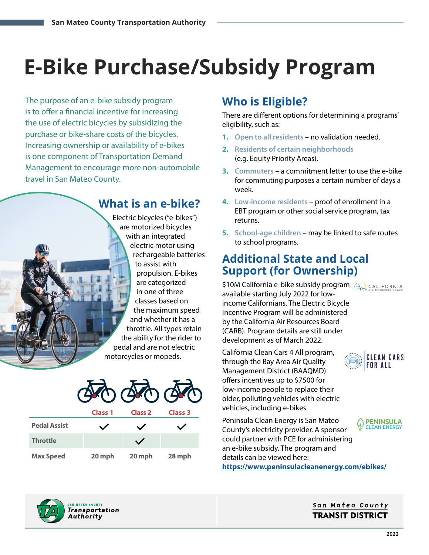# **E-Bike Purchase/Subsidy Program**

The purpose of an e-bike subsidy program is to offer a financial incentive for increasing the use of electric bicycles by subsidizing the purchase or bike-share costs of the bicycles. Increasing ownership or availability of e-bikes is one component of Transportation Demand Management to encourage more non-automobile travel in San Mateo County.

## **What is an e-bike?**

Electric bicycles ("e-bikes") are motorized bicycles with an integrated electric motor using rechargeable batteries to assist with propulsion. E-bikes are categorized in one of three classes based on the maximum speed and whether it has a throttle. All types retain the ability for the rider to pedal and are not electric motorcycles or mopeds.



|                     | Class <sub>1</sub> | <b>Class 2</b> | Class 3 |
|---------------------|--------------------|----------------|---------|
| <b>Pedal Assist</b> |                    |                |         |
| <b>Throttle</b>     |                    |                |         |
| <b>Max Speed</b>    | 20 mph             | 20 mph         | 28 mph  |

# **Who is Eligible?**

There are different options for determining a programs' eligibility, such as:

- **1. Open to all residents** no validation needed.
- **2. Residents of certain neighborhoods**  (e.g. Equity Priority Areas).
- **3. Commuters** a commitment letter to use the e-bike for commuting purposes a certain number of days a week.
- **4. Low-income residents** proof of enrollment in a EBT program or other social service program, tax returns.
- **5. School-age children** may be linked to safe routes to school programs.

# **Additional State and Local Support (for Ownership)**

\$10M California e-bike subsidy program A CALIFORNIA available starting July 2022 for lowincome Californians. The Electric Bicycle Incentive Program will be administered by the California Air Resources Board (CARB). Program details are still under development as of March 2022.

- California Clean Cars 4 All program, through the Bay Area Air Quality Management District (BAAQMD) offers incentives up to \$7500 for low-income people to replace their older, polluting vehicles with electric vehicles, including e-bikes.
- Peninsula Clean Energy is San Mateo County's electricity provider. A sponsor could partner with PCE for administering an e-bike subsidy. The program and details can be viewed here:

**<https://www.peninsulacleanenergy.com/ebikes/>**



## San Mateo County **TRANSIT DISTRICT**

**CLEAN CARS FOR ALL** 

C PENINSULA **CLEAN ENERGY**